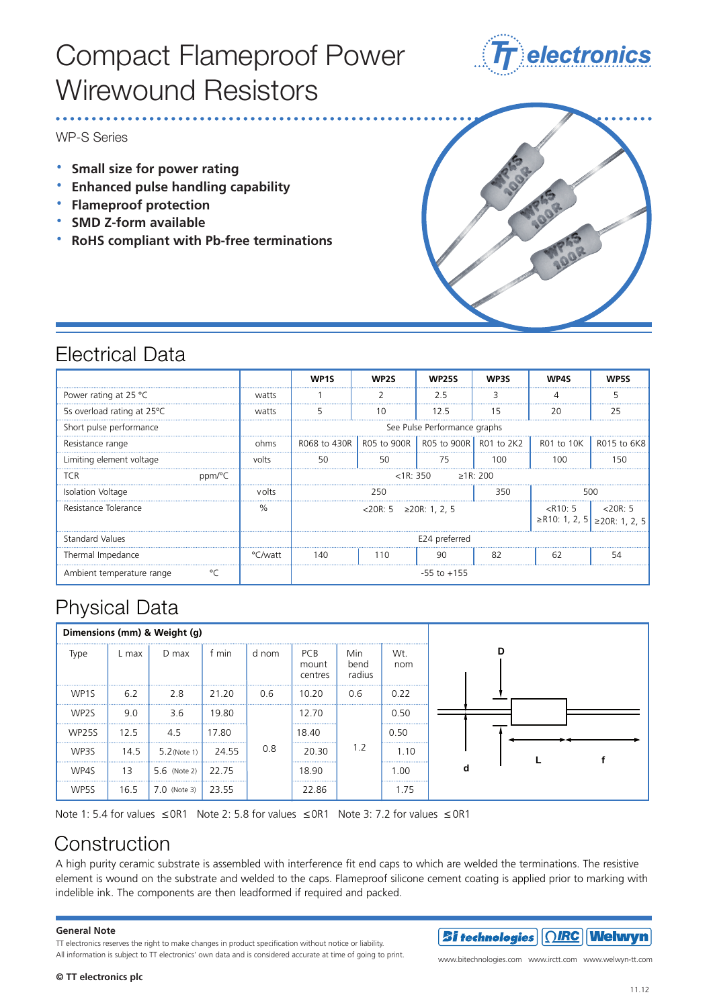# Compact Flameproof Power Compact Flameproof Power Wirewound Resistors Wirewound Resistors



WP-S Series

- **· Small size for power rating**
- **· Enhanced pulse handling capability s Small size for power rating**
- **· Flameproof protection s Enhanced pulse handling capability**
- **· SMD Z-form available s Flameproof protection**
- **• RoHS** compliant with Pb-free terminations



### Electrical Data

|                                      |         | <b>MP1S</b>                      | <b>WP2S</b>                                                | <b>WP25S</b> | <b>W</b> b3<                                                              | WP4S |             |
|--------------------------------------|---------|----------------------------------|------------------------------------------------------------|--------------|---------------------------------------------------------------------------|------|-------------|
| Power rating at 25 $^{\circ}$ C      | watts   |                                  |                                                            | 2.5          | 3                                                                         |      | 5           |
| 5s overload rating at 25 °C          | watts   | 5                                | 10                                                         | 12.5         | 15                                                                        | 20   | 25          |
| Short pulse performance              |         | See Pulse Performance graphs     |                                                            |              |                                                                           |      |             |
| Resistance range                     | ohms    |                                  | R068 to 430R R05 to 900R R05 to 900R R01 to 2K2 R01 to 10K |              |                                                                           |      | R015 to 6K8 |
| Limiting element voltage             | volts   | 50                               | 50                                                         | 75           | 100                                                                       | 100  | 150         |
| <b>TCR</b><br>ppm/°C                 |         | >1R:200<br>$<$ 1 $R$ $\cdot$ 350 |                                                            |              |                                                                           |      |             |
| Isolation Voltage                    | volts   | 250<br>350<br>500                |                                                            |              |                                                                           |      |             |
| Resistance Tolerance                 | ℅       | $<$ 20R: 5 ≥20R: 1. 2. 5         |                                                            |              | $\langle R10:5 \mid \langle 20R:5 \rangle$<br>≥R10: 1, 2, 5 ≥20R: 1, 2, 5 |      |             |
| <b>Standard Values</b>               |         | E24 preferred                    |                                                            |              |                                                                           |      |             |
| Thermal Impedance                    | °C/watt | 140                              | 110                                                        | 90           | 82                                                                        | 62   | 54          |
| $\circ$<br>Ambient temperature range |         | $-55$ to $+155$                  |                                                            |              |                                                                           |      |             |

## Physical Data

| Dimensions (mm) & Weight (g) |            |                            |           |       |                                |                       |            |
|------------------------------|------------|----------------------------|-----------|-------|--------------------------------|-----------------------|------------|
| Type                         | L max      | $D$ max                    | f min     | d nom | <b>PCB</b><br>mount<br>centres | Min<br>bend<br>radius | Wt.<br>nom |
| WP <sub>1</sub> S<br>        | 6.2        | 2.8<br>                    | 21.20     | 0.6   | 10.20<br>                      | 0.6<br>               | <br>0.22   |
| WP2S<br>                     | 9.0<br>    | 3.6                        | 19.80<br> |       | 12.70<br>                      |                       | 0.50<br>   |
| <b>WP25S</b>                 | 12.5       | 4.5<br>                    | 17.80     |       | 18.40                          |                       | 0.50       |
| WP3S                         | <br>14.5   | $5.2$ (Note 1)             | 24.55     | 0.8   | <br>20.30<br>                  | 1.2                   | <br>1.10   |
| <br>WP4S                     | <br>13<br> | <br>5.6 (Note 2) 22.75<br> |           |       | 18.90<br>                      |                       | .00        |
| WP5S                         | 16.5       | $7.0$ (Note 3)             | 23.55     |       | 22.86                          |                       | 1.75       |

Note 1: 5.4 for values  $\leq$  OR1 Note 2: 5.8 for values  $\leq$  OR1 Note 3: 7.2 for values  $\leq$  OR1

## Construction

A high purity ceramic substrate is assembled with interference fit end caps to which are welded the terminations. The resistive element is wound on the substrate and welded to the caps. Flameproof silicone cement coating is applied prior to marking with indelible ink. The components are then leadformed if required and packed.

#### **General Note General Note**

TT electronics reserves the right to make changes in product specification without notice or liability. All information is subject to TT electronics' own data and is considered accurate at time of going to print.



www.bitechnologies.com www.irctt.com www.welwyn-tt.com ww.welwyn-tt.col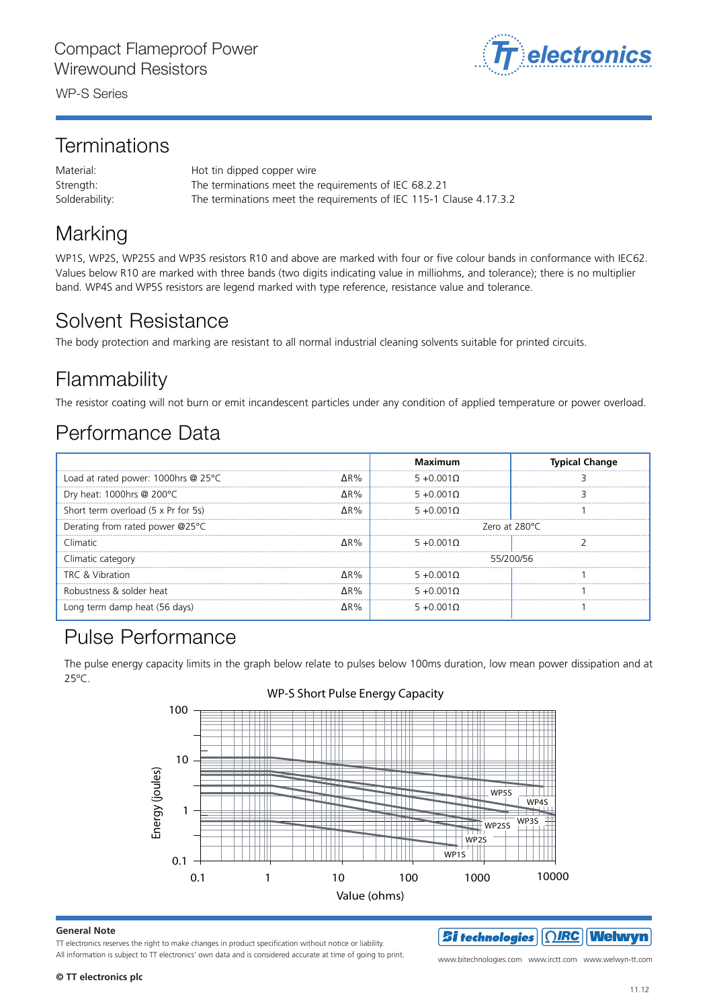WP-S Series *Welwyn Components* WP-S Series *Welwyn Components* WP-S Series *Welwyn Components*

#### Terminations Terminations erminations

Material: The terminations of the terminations meet the terminations of IEC 68.21 Strength: The terminations meet the requirements of IEC 68.2.21 Solderability: The terminations meet the requirements of IEC 115-1 Clause 4.17.3.2 Solderability: The terminations meet the requirements of IEC 115-1 Clause 4.17.3.2 Strength: The terminations meet the requirements of IEC 68.2.21  $S$ olderability. The terminations meet the requirements of IEC 115-1 Clause 4.17.3.2

#### Marking Marking weak resistors  $\mathcal{P}_3$  resistors  $\mathcal{P}_4$  and above are marked with in conformance with IEC62. Marking Marking

WP1S, WP2S, WP25S and WP3S resistors R10 and above are marked with four or five colour bands in conformance with IEC62. .<br>Values below R10 are marked with three bands (two digits indicating value in milliohms, and tolerance); there is no multiplier band. WP4S and WP5S resistors are legend marked with type reference, resistance value and tolerance.

### Solvent Resistance Solvent Resistance The body protection and marking are resistant to all normal industrial cleaning solvents suitable for printed circuits. Solvent Resistance Solvent Resistance

The body protection and marking are resistant to all normal industrial cleaning solvents suitable for printed circuits.

### Flammability<br>Flammability Flammability

The resistor coating will not burn or emit incandescent particles under any condition of applied temperature or power overload.

#### Performance Data Performance Data Performance Data Performance Data

|                                     |        | Maximum             | <b>Typical Change</b> |
|-------------------------------------|--------|---------------------|-----------------------|
| Load at rated power: 1000hrs @ 25°C | AR%    | $5 + 0.001 \Omega$  |                       |
| Dry heat: 1000hrs @ 200 $\degree$ C | ∧R%    | .<br>$5 + 0.0010$   |                       |
| Short term overload (5 x Pr for 5s) | ∧R%    | <br>$5 + 0.0010$    |                       |
| Derating from rated power @25°C     |        | Zero at 280°C       |                       |
| Climatic                            | $AR\%$ | 5 + 0.001 0         |                       |
| Climatic category                   |        | 55/200/56<br>       |                       |
| TRC & Vibration                     | AR%    | $5 + 0.001$<br><br> |                       |
| Robustness & solder heat            | 1 R %  | $5 + 0.0010$        |                       |
| Long term damp heat (56 days)       | 1 R %  | $5 + 0.0010$        |                       |

### Pulse Performance Pulse Performance Pulse Performance

 $T_{\rm D}$  pulse energy capacity limits in the graph below 100ms duration, low means  $\sim$ The pulse energy capacity limits in the graph below relate to pulses below 100ms duration, low mean power dissipation and at  $75^{\circ}$ Capacity limits in the graph below relate to pulses below 100ms duration, low means  $\sim$ 25ºC. 25ºC.



Value (ohms)

### WP-S Short Pulse Energy Capacity WP-S Short Pulse Energy Capacity

#### **General Note © Welwyn Components Limited** Bedlington, Northumberland NE22 7AA, UK

**General Note**<br>TT electronics reserves the right to make changes in product specification without notice or liability. All information is subject to TT electronics' own data and is considered accurate at time of going to print. www.bitechnologies.com www.irctt.com www.welwyn-tt.com

www.bitechnologies.com www.irctt.com www.welwyn-tt.com  $\bm{\mathcal{B}}$ i technologies  $||\textcolor{red}{\textcirc}||$ Welwyn

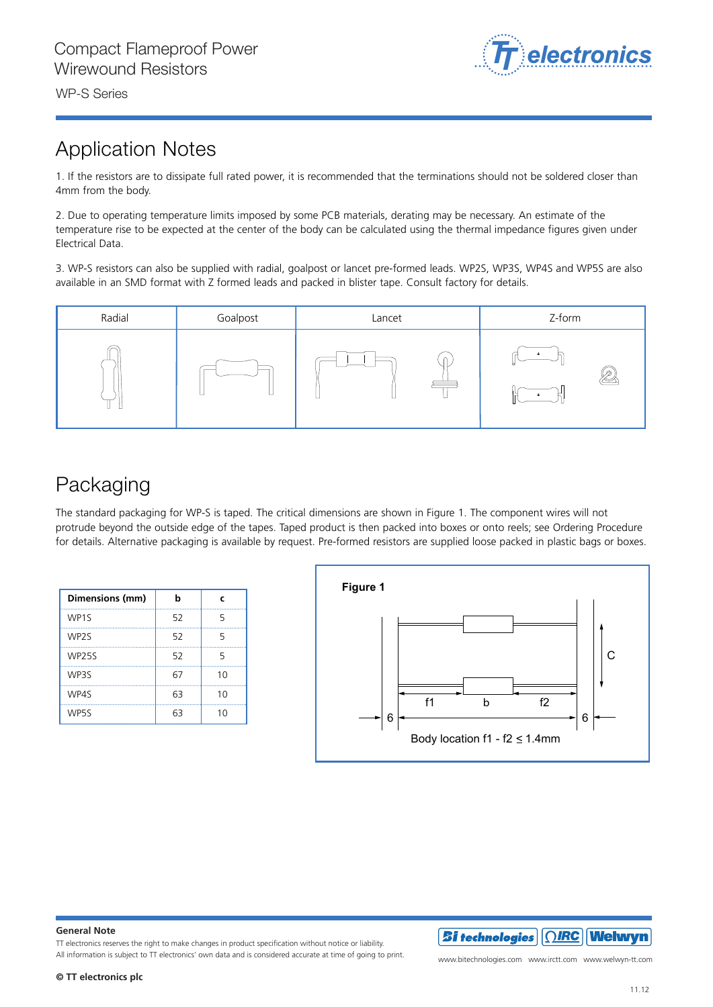

WP-S Series WP-S Series *Welwyn Components*

### Application Notes

1. If the resistors are to dissipate full rated power, it is recommended that the terminations should not be soldered closer than 4mm from the body.

2. Due to operating temperature limits imposed by some PCB materials, derating may be necessary. An estimate of the temperature rise to be expected at the center of the body can be calculated using the thermal impedance figures given under Electrical Data.

3. WP-S resistors can also be supplied with radial, goalpost or lancet pre-formed leads. WP2S, WP3S, WP4S and WP5S are also available in an SMD format with Z formed leads and packed in blister tape. Consult factory for details.



## Packaging

The standard packaging for WP-S is taped. The critical dimensions are shown in Figure 1. The component wires will not protrude beyond the outside edge of the tapes. Taped product is then packed into boxes or onto reels; see Ordering Procedure for details. Alternative packaging is available by request. Pre-formed resistors are supplied loose packed in plastic bags or boxes.

| Dimensions (mm)   | b  | c  |
|-------------------|----|----|
| WP <sub>1S</sub>  | 52 | 5  |
| WP <sub>2</sub> S | 52 | 5  |
| <b>WP25S</b>      | 52 | 5  |
| WP3S              | 67 | 10 |
| WP4S              | 63 | 10 |
| WP5S              | 63 | 10 |



#### **General Note**

TT electronics reserves the right to make changes in product specification without notice or liability. All information is subject to TT electronics' own data and is considered accurate at time of going to print.<br>

www.bitechnologies.com www.irctt.com www.welwyn-tt.com